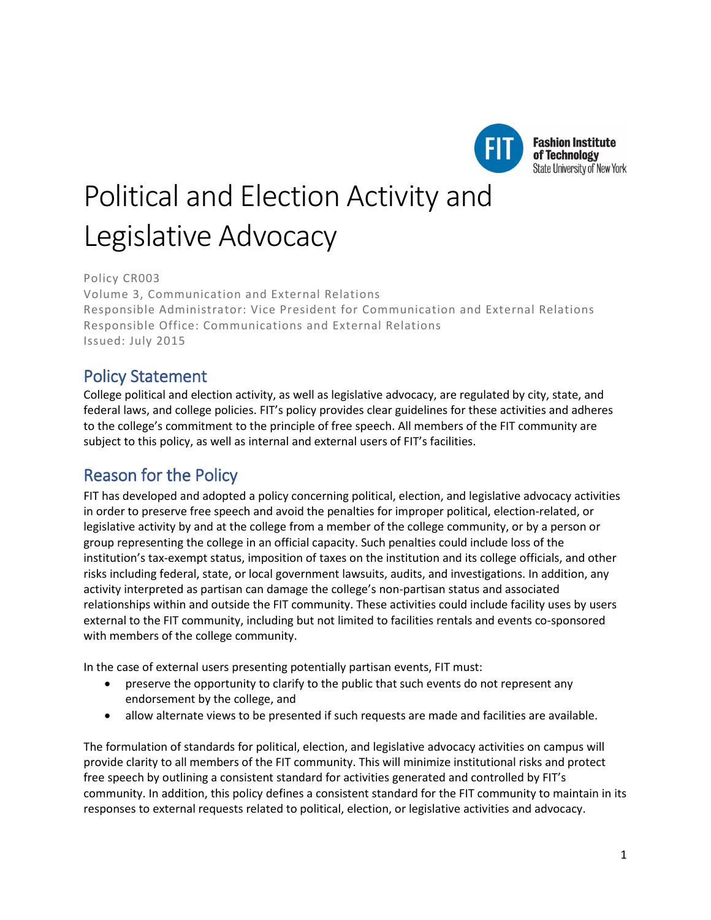

**Fashion Institute** of Technology **State University of New York** 

# Political and Election Activity and Legislative Advocacy

Policy CR003 Volume 3, Communication and External Relations Responsible Administrator: Vice President for Communication and External Relations Responsible Office: Communications and External Relations Issued: July 2015

## Policy Statement

College political and election activity, as well as legislative advocacy, are regulated by city, state, and federal laws, and college policies. FIT's policy provides clear guidelines for these activities and adheres to the college's commitment to the principle of free speech. All members of the FIT community are subject to this policy, as well as internal and external users of FIT's facilities.

# Reason for the Policy

FIT has developed and adopted a policy concerning political, election, and legislative advocacy activities in order to preserve free speech and avoid the penalties for improper political, election-related, or legislative activity by and at the college from a member of the college community, or by a person or group representing the college in an official capacity. Such penalties could include loss of the institution's tax-exempt status, imposition of taxes on the institution and its college officials, and other risks including federal, state, or local government lawsuits, audits, and investigations. In addition, any activity interpreted as partisan can damage the college's non-partisan status and associated relationships within and outside the FIT community. These activities could include facility uses by users external to the FIT community, including but not limited to facilities rentals and events co-sponsored with members of the college community.

In the case of external users presenting potentially partisan events, FIT must:

- preserve the opportunity to clarify to the public that such events do not represent any endorsement by the college, and
- allow alternate views to be presented if such requests are made and facilities are available.

The formulation of standards for political, election, and legislative advocacy activities on campus will provide clarity to all members of the FIT community. This will minimize institutional risks and protect free speech by outlining a consistent standard for activities generated and controlled by FIT's community. In addition, this policy defines a consistent standard for the FIT community to maintain in its responses to external requests related to political, election, or legislative activities and advocacy.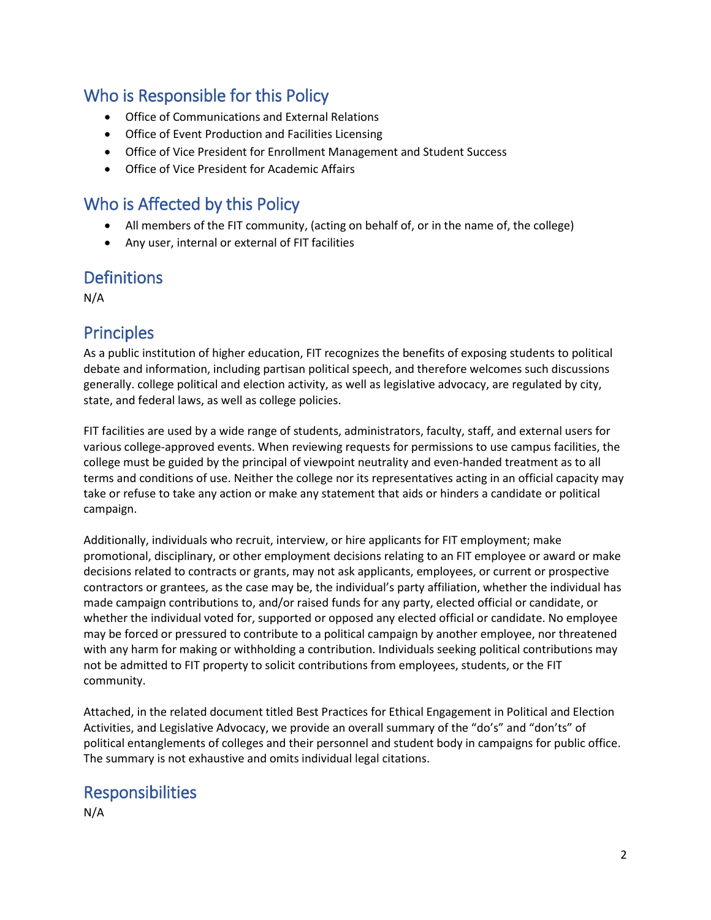## Who is Responsible for this Policy

- Office of Communications and External Relations
- Office of Event Production and Facilities Licensing
- Office of Vice President for Enrollment Management and Student Success
- Office of Vice President for Academic Affairs

## Who is Affected by this Policy

- All members of the FIT community, (acting on behalf of, or in the name of, the college)
- Any user, internal or external of FIT facilities

#### **Definitions**

N/A

### **Principles**

As a public institution of higher education, FIT recognizes the benefits of exposing students to political debate and information, including partisan political speech, and therefore welcomes such discussions generally. college political and election activity, as well as legislative advocacy, are regulated by city, state, and federal laws, as well as college policies.

FIT facilities are used by a wide range of students, administrators, faculty, staff, and external users for various college-approved events. When reviewing requests for permissions to use campus facilities, the college must be guided by the principal of viewpoint neutrality and even-handed treatment as to all terms and conditions of use. Neither the college nor its representatives acting in an official capacity may take or refuse to take any action or make any statement that aids or hinders a candidate or political campaign.

Additionally, individuals who recruit, interview, or hire applicants for FIT employment; make promotional, disciplinary, or other employment decisions relating to an FIT employee or award or make decisions related to contracts or grants, may not ask applicants, employees, or current or prospective contractors or grantees, as the case may be, the individual's party affiliation, whether the individual has made campaign contributions to, and/or raised funds for any party, elected official or candidate, or whether the individual voted for, supported or opposed any elected official or candidate. No employee may be forced or pressured to contribute to a political campaign by another employee, nor threatened with any harm for making or withholding a contribution. Individuals seeking political contributions may not be admitted to FIT property to solicit contributions from employees, students, or the FIT community.

Attached, in the related document titled Best Practices for Ethical Engagement in Political and Election Activities, and Legislative Advocacy, we provide an overall summary of the "do's" and "don'ts" of political entanglements of colleges and their personnel and student body in campaigns for public office. The summary is not exhaustive and omits individual legal citations.

## Responsibilities

N/A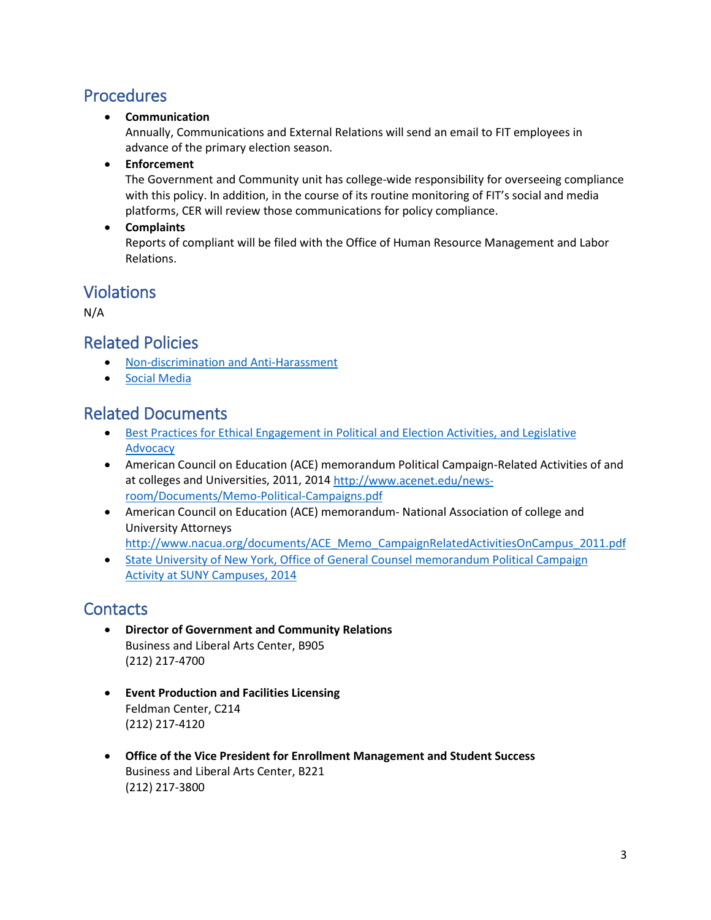## Procedures

• **Communication**

Annually, Communications and External Relations will send an email to FIT employees in advance of the primary election season.

• **Enforcement**

The Government and Community unit has college-wide responsibility for overseeing compliance with this policy. In addition, in the course of its routine monitoring of FIT's social and media platforms, CER will review those communications for policy compliance.

• **Complaints**

Reports of compliant will be filed with the Office of Human Resource Management and Labor Relations.

## Violations

N/A

### Related Policies

- [Non-discrimination and Anti-Harassment](http://www.fitnyc.edu/policies/college/nondiscrimination.php)
- [Social Media](http://www.fitnyc.edu/policies/communications/social-media.php)

## Related Documents

- Best Practices for Ethical Engagement in Political and Election Activities, and Legislative [Advocacy](https://www.councilofnonprofits.org/tools-resources/political-campaign-activities-risks-tax-exempt-status)
- American Council on Education (ACE) memorandum Political Campaign-Related Activities of and at colleges and Universities, 2011, 2014 [http://www.acenet.edu/news](http://www.acenet.edu/news-room/Documents/Memo-Political-Campaigns.pdf)[room/Documents/Memo-Political-Campaigns.pdf](http://www.acenet.edu/news-room/Documents/Memo-Political-Campaigns.pdf)
- American Council on Education (ACE) memorandum- National Association of college and University Attorneys [http://www.nacua.org/documents/ACE\\_Memo\\_CampaignRelatedActivitiesOnCampus\\_2011.pdf](http://www.nacua.org/documents/ACE_Memo_CampaignRelatedActivitiesOnCampus_2011.pdf)
- [State University of New York, Office of General Counsel memorandum Political Campaign](https://system.suny.edu/media/suny/content-assets/documents/generalcounsel/2014ElectionYearMemo.pdf)  [Activity at SUNY Campuses, 2014](https://system.suny.edu/media/suny/content-assets/documents/generalcounsel/2014ElectionYearMemo.pdf)

# **Contacts**

- **Director of Government and Community Relations** Business and Liberal Arts Center, B905 (212) 217-4700
- **Event Production and Facilities Licensing** Feldman Center, C214 (212) 217-4120
- **Office of the Vice President for Enrollment Management and Student Success** Business and Liberal Arts Center, B221 (212) 217-3800